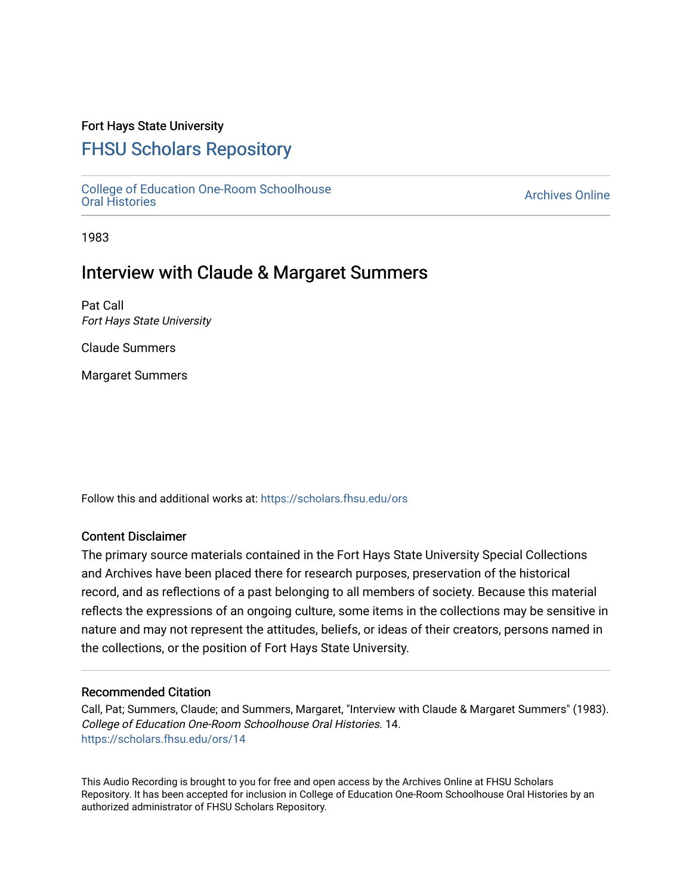### Fort Hays State University

# [FHSU Scholars Repository](https://scholars.fhsu.edu/)

[College of Education One-Room Schoolhouse](https://scholars.fhsu.edu/ors) [Oral Histories](https://scholars.fhsu.edu/ors) [Archives Online](https://scholars.fhsu.edu/archives) 

1983

## Interview with Claude & Margaret Summers

Pat Call Fort Hays State University

Claude Summers

Margaret Summers

Follow this and additional works at: [https://scholars.fhsu.edu/ors](https://scholars.fhsu.edu/ors?utm_source=scholars.fhsu.edu%2Fors%2F14&utm_medium=PDF&utm_campaign=PDFCoverPages) 

### Content Disclaimer

The primary source materials contained in the Fort Hays State University Special Collections and Archives have been placed there for research purposes, preservation of the historical record, and as reflections of a past belonging to all members of society. Because this material reflects the expressions of an ongoing culture, some items in the collections may be sensitive in nature and may not represent the attitudes, beliefs, or ideas of their creators, persons named in the collections, or the position of Fort Hays State University.

#### Recommended Citation

Call, Pat; Summers, Claude; and Summers, Margaret, "Interview with Claude & Margaret Summers" (1983). College of Education One-Room Schoolhouse Oral Histories. 14. [https://scholars.fhsu.edu/ors/14](https://scholars.fhsu.edu/ors/14?utm_source=scholars.fhsu.edu%2Fors%2F14&utm_medium=PDF&utm_campaign=PDFCoverPages)

This Audio Recording is brought to you for free and open access by the Archives Online at FHSU Scholars Repository. It has been accepted for inclusion in College of Education One-Room Schoolhouse Oral Histories by an authorized administrator of FHSU Scholars Repository.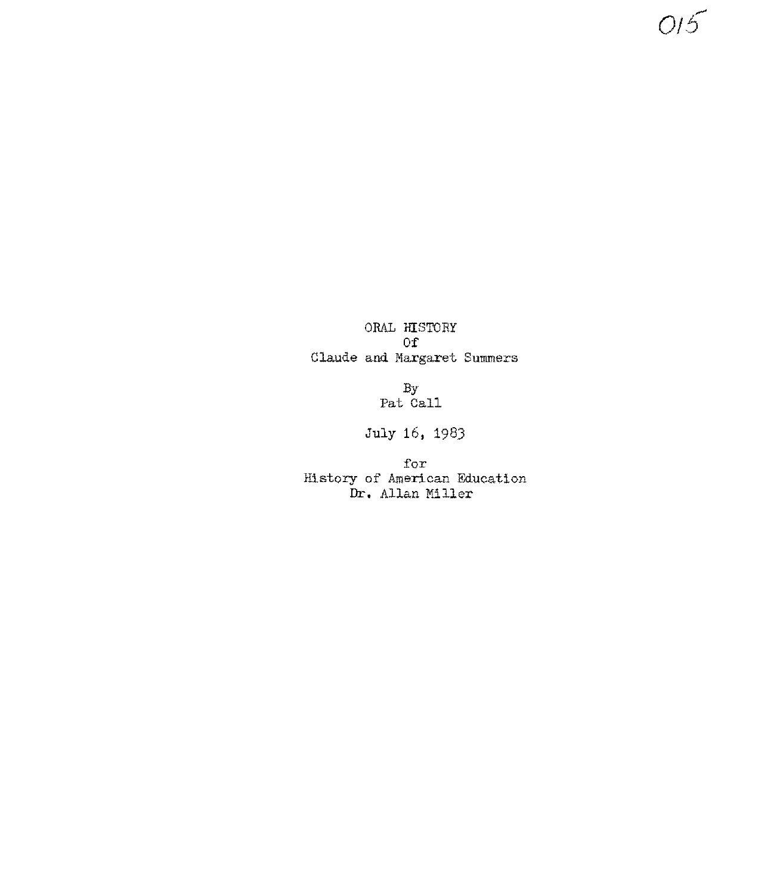ORAL HISTORY Of Claude and Margaret Summers  $O15$ 

By Pat Call

July 16, 198J

:for History of American Education Dr, Allan Miller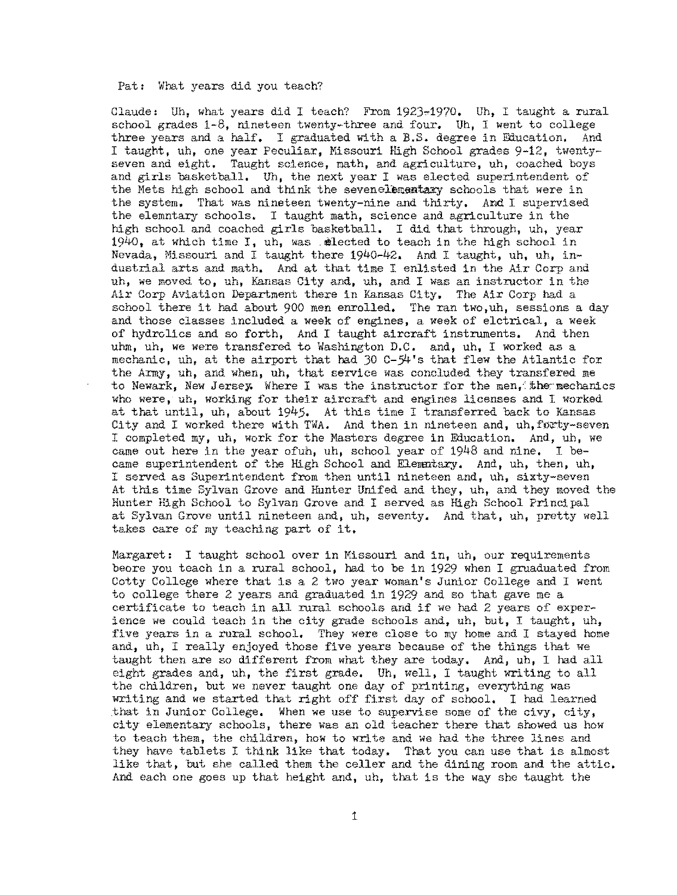#### Pat: What years did you teach?

Claude: Uh, what years did I teach? From 1923~1970, Uh, I taught a rural school grades  $1-8$ , nineteen twenty-three and four. Uh, I went to college three years and a half. I graduated with a B.S. degree in Education. And I taught, uh, one year Peculiar, Missouri High School grades 9-12, twentyseven and eight. Taught science, math, and agriculture, uh, coached boys and girls basketball, Uh, the next year I was elected superintendent of the Mets high school and think the sevenelementary schools that were in the system, That was nineteen twenty-nine and thirty. And I supervised the elemntary schools, I taught math, science and agriculture in the high school and coached girls basketball. I did that through, uh, year 1940, at which time I, uh, was . Alected to teach in the high school in Nevada, Missouri and I taught there 1940-42, And I taught, uh, uh, industrial arts and math, And at that time I enlisted in the Air Corp and uh, we moved to, uh, Kansas City and, uh, and I was an instructor in the Air Corp Aviation Department there in Kansas City, The Air Corp had a school there it had about 900 men enrolled, The ran two,uh, sessions a day and those classes included a week of engines, a week of elctrical, a week of hydrolics and so forth, And I taught aircraft instruments. And then uhm, uh, we were transfered to Washington D.C. and, uh, I worked as a mechanic, uh, at the airport that had  $30$  C- $54$ 's that flew the Atlantic for the Anny, uh, and when, uh, that service was concluded they transfered me to Newark, New Jersey; Where I was the instructor for the men, the mechanics who were, uh, working for their aircraft and engines licenses and I worked at that until, uh, about 1945, At this time I transferred back to Kansas City and I worked there with TWA. And then in nineteen and, uh, forty-seven I completed my, uh, work for the Masters degree in Education. And, uh, we came out here in the year ofuh, uh, school year of 1948 and nine, I became superintendent of the High School and Elenmtary, And, uh, then, uh, I served as Superintendent from then until nineteen and, uh, sixty-seven At this time Sylvan Grove and Hunter Unifed and they, uh, and they moved the Hunter High School to Sylvan Grove and I served as High School Principal at Sylvan Grove until nineteen and, uh, seventy. And that, uh, pretty well takes care of my teaching part of it,

Margaret: I taught school over in Missouri and in, uh, our requirements beore you teach in a rural school, had to be in 1929 when I gruaduated from Cotty College where that is a 2 two year woman's Junior College and I went to college there 2 years and graduated in 1929 and so that gave me a certificate to teach in all rural schools and if we had 2 years of experience we could teach in the city grade schools and, uh, but, I taught, uh, five years in a rural school. They were close to my home and I stayed home and, uh, I really enjoyed those five years because of the things that we taught then are so different from what they are today, And, uh, I had all eight grades and, uh, the first grade, Uh, well, I taught writing to all the children, but we never taught one day of printing, everything was writing and we started that right off first day of school, I had learned that in Junior College. When we use to supervise some of the civy, city, city elementary schools, there was an old teacher there that showed us hew to teach them, the children, how to write and we had the three lines and they have tablets I think like that today, That you can use that is almost like that, but she called them the celler and the dining room and the attic, And each one goes up that height and, uh, that is the way she taught the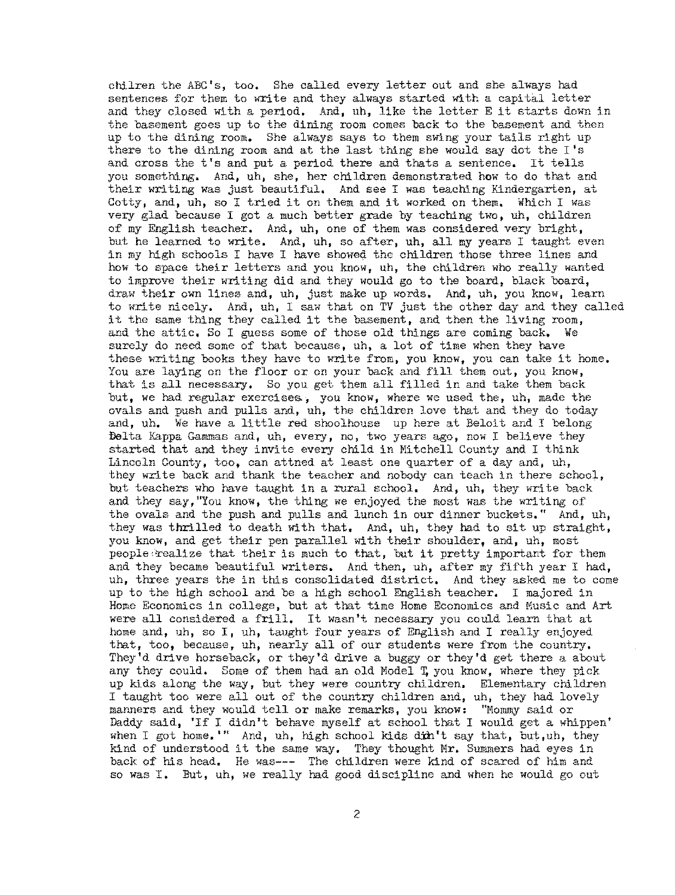chilren the ABC's, too. She called every letter out and she always had sentences for them to write and they always started with a capital letter and they elosed with a period. And, uh, like the letter E it starts down in the basement goes up to the dining room comes back to the basement and then up to the dining room. She always says to them swing your tails right up there to the dining room and at the last thing she would say dot the I's and cross the t's and put a period there and thats a sentence. It tells you something. And, uh, she, her children demonstrated how to do that and their writing was just beautiful, And see I was teaching Kindergarten, at Cotty, and, uh, so I tried it on them and it worked on them. Which I was very glad because I got a much better grade by teaching two, uh, children of my English teacher, And, uh, one of them was considered very bright, but he learned to write, And, uh, so after, uh, all my years I taught even in my high schools I have I have showed the children those three lines and how to space their letters and you know, uh, the children who really wanted to improve their writing did and they would go to the board, black board, draw their own lines and, uh, just make up words, And, uh, you know, learn to write nicely, And, uh, 1 saw that on TV just the other day and they called it the same thing they called it the basement, and then the living room, and the attic, So I guess some of those old things are coming back, We surely do need some of that because, uh, a lot of time when they have these writing books they have to write from, you know, you can take it home. You are laying on the floor or on your back and fill them out, you know, that is all necessary. So you get them all filled in and take them back but, we had regular exercises,, you know, where we used the, uh, made the ovals and push and pulls and, uh, the children love that and they do today and, uh. We have a little red shoolhouse up here at Beloit and I belong fielta Kappa Gammas and, uh, every, no, two years ago, now I believe they started that and they invite every child in Mitchell County and I think Lincoln County, too, can attned at least one quarter of a day and, uh, they write back and thank the teacher and nobody can teach in there school, but teachers who have taught in a rural school, And, uh, they write back and they say, "You know, the thing we enjoyed the most was the writing of the ovals and the push and pulls and lunch in our dinner buckets." And, uh, they was thrilled to death with that, And, uh, they had to sit up straight, you know, and get their pen parallel with their shoulder, and, uh, most people realize that their is much to that, but it pretty important for them and they became beautiful writers. And then, uh, after my fifth year I had, uh, three years the in this consolidated district. And they asked me to come up to the high school and be a high school English teacher, I majored in Home Economics in college, but at that time Home Economics and Music and Art were all considered a frill. It wasn't necessary you could learn that at home and, uh, so I, uh, taught four years of English and I really enjoyed that, too, because, uh, nearly all of our students were from the country, They'd drive horseback, or they'd drive a buggy or they'd get there a about any they could, Some of them had an old Model 'I; you know, where they pick up kids along the way, but they were country children, Elementary children I taught too were all out of the country children and, uh, they had lovely manners and they would tell or make remarks, you know: "Mommy said or Daddy said, 'If I didn't behave myself at school that I would get a whippen' when I got home.'" And, uh, high school kids din't say that, but,uh, they kind of understood it the same way, They thought Mr, Summers had eyes in back of his head, He was--- The children were kind of scared of him and so was I. But, uh, we really had good discipline and when he would go out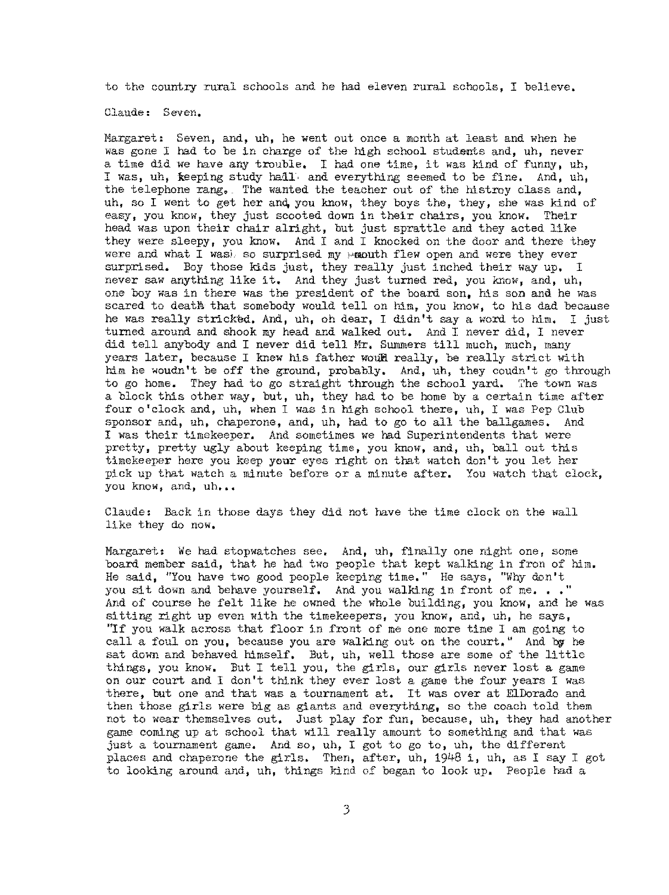to the country rural schools and he had eleven rural schools, I believe.

Claude: Seven.

Margaret: Seven, and, uh, he went out once a month at least and when he was gone I had to be in charge of the high school students and, uh, never a time did we have any trouble, I had one time, it was kind of funny, uh, I was, uh, keeping study hall, and everything seemed to be fine. And, uh, the telephone rang,. The wanted the teacher out of the histroy class and, uh, so I went to get her and you know, they boys the, they, she was kind of easy, you know, they just scooted down in their chairs, you know, Their head was upon their chair alright, but just sprattle and they acted like they were sleepy, you know, And I and I knocked on the door and there they were and what I wash so surprised my moonth flew open and were they ever surprised. Boy those kids just, they really just inched their way up. I never saw anything like it. And they just turned red, you know, and, uh, one boy was in there was the president of the board son, his son and he was scared to death that somebody would tell on him, you know, to his dad because he was really stricked. And, uh, oh dear, I didn't say a word to him. I just turned around and shook my head and walked out, And I never did, I never did tell anybody and I never did tell Mr. Summers till much, much, many years later, because I knew his father would really, be really strict with him he woudn't be off the ground, probably. And, uh, they coudn't go through to go home. They had to go straight through the school yard, 7he town was a block this other way, but, uh, they had to be home by a certain time after four o'clock and, uh, when I was in high school there, uh, I was Pep Club sponsor and, uh, chaperone, and, uh, had to go to all the ballgames. And I was their timekeeper, And sometimes we had Superintendents that were pretty, pretty ugly about keeping time, you know, and, uh, ball out this timekeeper here you keep your eyes right on that watch don't you let her pick up that watch a minute before or a minute after, You watch that clock, you know, and, uh...

Claude: Back in those days they did not have the time clock on the wall like they do now,

Margaret, We had stopwatches see. And, uh, finally one night one, some board member said, that he had two people that kept walking in fron of him. He said, "You have two good people keeping time." He says, "Why don't you sit down and behave yourself. And you walking in front of me..." And of course he felt like he owned the whole building, you know, and he was sitting right up even with the timekeepers, you know, and, uh, he says, "If you walk across that floor in front of me one more time I am going to call a foul on you, because you are walking out on the court." And by he sat down and behaved himself, But, uh, well those are some of the little things, you know, But I tell you, the girls, our girls never lost a game on our court and I don't think they ever lost a game the four years I was there, but one and that was a tournament at. It was over at ElDorado and then those girls were big as giants and everything, so the coach told them not to wear themselves out. Just play for fun, because, uh, they had another game coming up at school that will really amount to something and that was just a tournament game, And so, uh, I got to go to, uh, the different places and chaperone the girls. Then, after, uh, 1948 i, uh, as I say I got to looking around and, uh, things kind of began to look up. People had a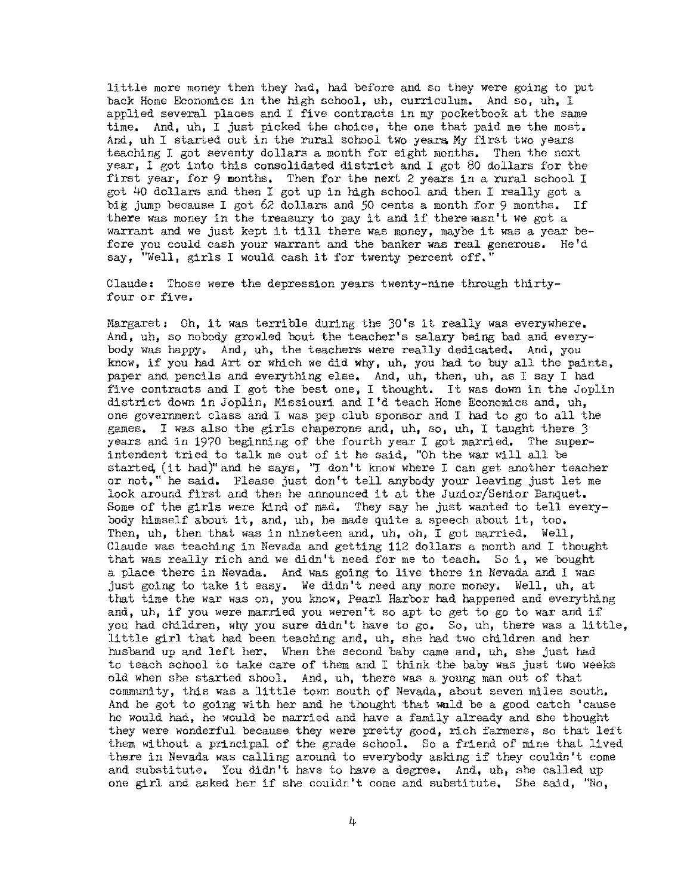little more money then they had, had before and so they were going to put back Home Economics in the high school, uh, curriculum. And so, uh, I applied several places and I five contracts in my pocketbook at the same time, And, uh, I just picked the choice, the one that paid me the most, And, uh I started out in the rural school two years My first two years teaching I got seventy dollars a month for eight months, Then the next year, I got into this consolidated district and I got 80 dollars for the first year, for 9 months, Then for the next 2 years in a rural school I got 4o dollars and then I got up in high school and then I really got a big jump because I got 62 dollars and 50 cents a month for 9 months, If there was money in the treasury to pay it and if there wasn't we got a warrant and we just kept it till there was money, maybe it was a year before you could cash your warrant and the banker was real generous, He'd say, "Well, girls I would cash it for twenty percent off."

Claude, Those were the depression years twenty-nine through thirtyfour or five.

Margaret, Oh, it was terrible during the JO's it really was everywhere, And, uh, so nobody growled bout the teacher's salary being bad and everybody was happy, And, uh, the teachers were really dedicated, And, you know, if you had Art or which we did why, uh, you had to buy all the paints, paper and pencils and everything else. And, uh, then, uh, as I say I had five contracts and I got the best one, I thought. It was down in the Joplin district down in Joplin, Missiouri and I'd teach Home Economics and, uh, one government class and I was pep club sponsor and I had to go to all the games, I was also the girls chaperone and, uh, so, uh, I taught there 3 years and in 1970 beginning of the fourth year I got married. The superintendent tried to talk me out of it he said, "Oh the war will all be started, (it had)" and he says, "I don't know where I can get another teacher or not," he said, Please just don't tell anybody your leaving just let me look around first and then he announced it at the Junior/Senior Banquet. Some of the girls were kind of mad, They say he just wanted to tell everybody himself about it, and, uh, he made quite a speech about it, too. Then, uh, then that was in nineteen and, uh, oh, I got married. Well, Claude was teaching in Nevada and getting 112 dollars a month and I thought that was really rich and we didn't need for me to teach, Soi, we bought a place there in Nevada, And was going to live there in Nevada and I was just going to take it easy, We didn't need any more money. Well, uh, at that time the war was on, you know, Pearl Harbor had happened and everything and, uh, if you were married you weren't so apt to get to go to war and if you had children, why you sure didn't have to go. So, uh, there was a little, little girl that had been teaching and, uh, she had two children and her husband up and left her, When the second baby came and, uh, she just had to teach school to take care of them and I think the baby was just two weeks old when she started shoal, And, uh, there was a young man out of that community, this was a little town south of Nevada, about seven miles south. And he got to going with her and he thought that wald be a good catch 'cause he would had, he would be married and have a family already and she thought they were wonderful because they were pretty good, rich farmers, so that left them without a principal of the grade school. So a friend of mine that lived there in Nevada was calling around to everybody asking if they couldn't come and substitute, You didn't have to have a degree, And, uh, she called up one girl and asked her if she couldn't come and substitute. She said, "No,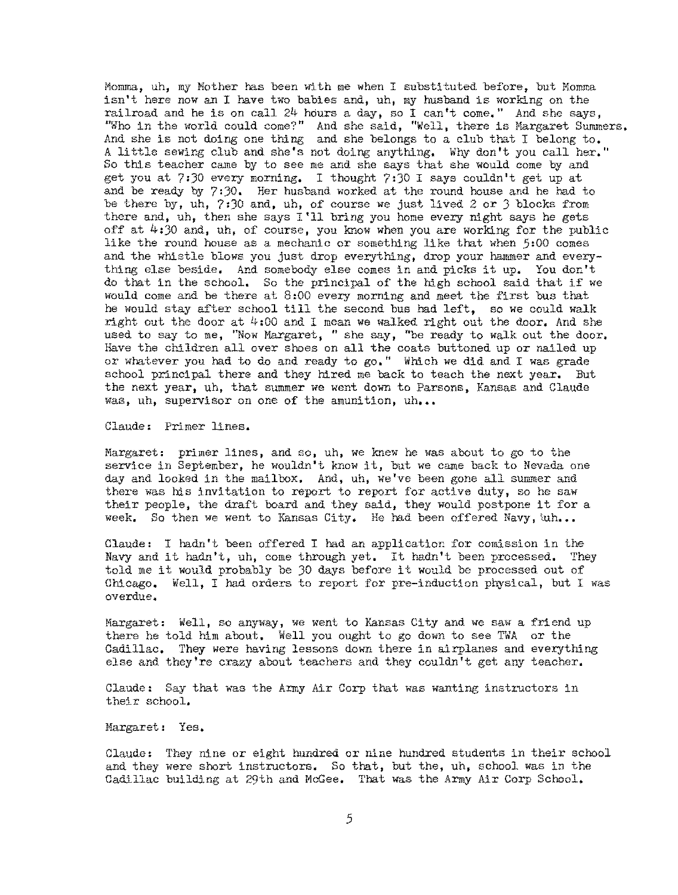Momma, uh, my Mother has been with me when I substituted before, but Momma isn't here now an I have two babies and, uh, my husband is working on the railroad and he is on call 24 hours a day, so I can't come," And she says, "Who in the world could come?" And she said, "Well, there is Margaret Summers, And she is not doing one thing and she belongs to a club that I belong to, A little sewing club and she's not doing anything. Why don't you call her." So this teacher came by to see me and she says that she would come by and get you at  $7:30$  every morning. I thought  $7:30$  I says couldn't get up at and be ready by 7:JO. Her husband worked at the round house and he had to be there by, uh, 7:30 and, uh, of course we just lived 2 or J blocks from there and, uh, then she says I'll bring you home every night says he gets off at  $4:30$  and, uh, of course, you know when you are working for the public like the round house as a mechanic or something like that when 5:00 comes and the whistle blows you just drop everything, drop your hammer and everything else beside, And somebody else comes in and picks it up. You don't do that in the school, So the principal of the high school said that if we would come and be there at 8:00 every morning and meet the first bus that he would stay after school till the second bus had left, so we could walk right out the door at  $4:00$  and I mean we walked right out the door. And she used to say to me, "Now Margaret, " she say, "be ready to walk out the door. Have the children all over shoes on all the coats buttoned up or nailed up or whatever you had to do and ready to go," Which we did and I was grade school principal there and they hired me back to teach the next year. But the next year, uh, that summer we went down to Parsons, Kansas and Claude was, uh, supervisor on one of the amunition, uh...

Claude: Primer lines.

Margaret: primer lines, and so, uh, we knew he was about to go to the service in September, he wouldn't know it, but we came back to Nevada one day and looked in the mailbox, And, uh, we've been gone all summer and there was his invitation to report to report for active duty, so he saw their people, the draft board and they said, they would postpone it for a week. So then we went to Kansas City. He had been offered Navy, uh...

Claude: I hadn't been offered I had an application for comission in the Navy and it hadn't, uh, come through yet, It hadn't been processed, They told me it would probably be JO days before it would be processed out of Chicago. Well, I had orders to report for pre-induction physical, but I was **overdue.** 

Margaret: Well, so anyway, we went to Kansas City and we saw a friend up there he told him about, Well you ought to go down to see TWA or the Cadillac. They were having lessons down there in airplanes and everything else and they're crazy about teachers and they couldn't get any teacher.

Claude: Say that was the Army Air Corp that was wanting instructors in their school.

Margaret: Yes.

Claude: They nine or eight hundred or nine hundred students in their school and they were short instructors, So that, but the, uh, school was in the Cadillac building at 29th and McGee, That was the Army Air Corp School.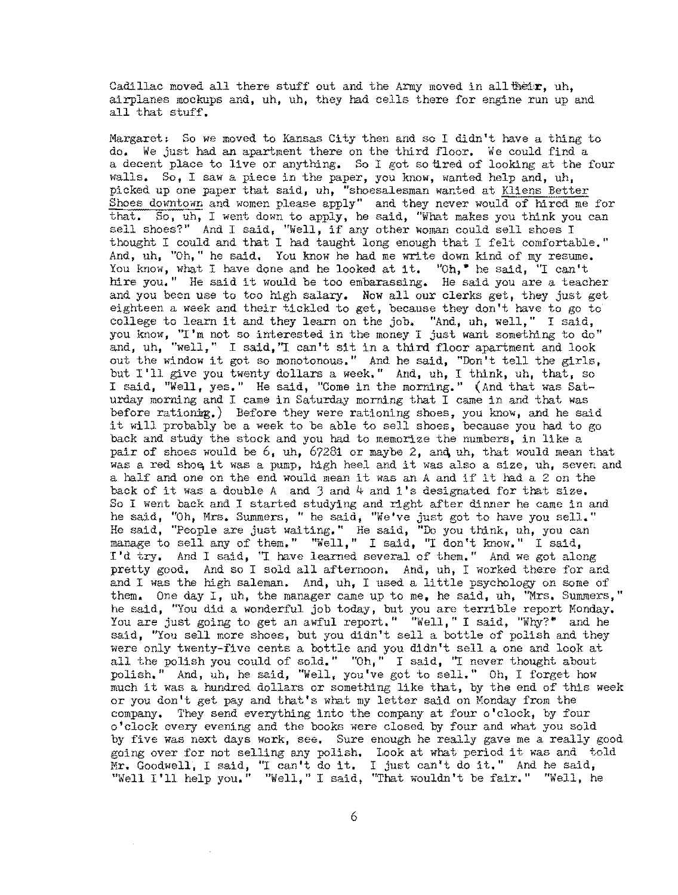Cadillac moved all there stuff out and the Army moved in all their. uh. airplanes mockups and, uh, uh, they had cells there for engine run up and all that stuff.

Margaret, So we moved to Kansas City then and so I didn't have a thing to do. We just had an apartment there on the third floor. We could find a a decent place to live or anything. So I got so tired of looking at the four walls. So, I saw a piece in the paper, you know, wanted help and, uh, picked up one paper that said, uh, "shoesalesman wanted at Kliens Better Shoes downtown and women please apply" and they never would of hired me for that. So, uh, I went down to apply, he said, "What makes you think you can sell shoes?" And I said, "Well, if any other woman could sell shoes I thought I could and that I had taught long enough that I felt comfortable." And, uh, "Oh," he said, You know he had me write down kind of my resume, You know, what I have done and he looked at it. "Oh,• he said, "I can't hire you." He said it would be too embarassing. He said you are a teacher and you been use to too high salary. Now all our clerks get, they just get eighteen a week and their tickled to get, because they don't have to go to eighteen a week and their trekied to get, because they don't have to go to<br>college to learn it and they learn on the job. "And, uh, well," I said, you know, "I'm not so interested in the money I just want something to do" and, uh, "well," I said, "I can't sit in a third floor apartment and look out the window it got so monotonous." And he said, "Don't tell the girls, but I'll give you twenty dollars a week." And, uh, I think, uh, that, so I said, "Well, yes." He said, "Come in the morning." (And that was Saturday morning and I came in Saturday morning that I came in and that was before rationing.) Before they were rationing shoes, you know, and he said it will probably be a week to be able to sell shoes, because you had to go back and study the stock and you had to memorize the numbers, in like a pair of shoes would be 6, uh, 67281 or maybe 2, **and,** uh, that would mean that was a red shoe it was a pump, high heel and it was also a size, uh, seven and a half and one on the end would mean it was an A and if it had a 2 on the back of it was a double A and  $3$  and  $4$  and  $1$ 's designated for that size. So I went back and I started studying and right after dinner he came in and he said, "Oh, Mrs. Summers, " he said, "We've just got to have you sell." He said, "People are just waiting," He said, "Do you think, uh, you can manage to sell any of them," "Well," I said, "I don't know." I said, I'd try, And I said, "I have learned several of them." And we got along pretty good, And so I sold all afternoon, And, uh, I worked there for and and I was the high saleman. And, uh, I used a little psychology on some of them. One day I, uh, the manager came up to me, he said, uh, "Mrs. Summers," he said, "You did a wonderful job today, but you are terrible report Monday. You are just going to get an awful report." "Well," I said, "Why?" and he said, "You sell more shoes, but you didn't sell a bottle of polish and they were only twenty-five cents a bottle and you didn't sell a one and look at all the polish you could of sold." "Oh," I said, "I never thought about polish." And, uh, he said, "Well, you've got to sell." Oh, I forget how much it was a hundred dollars or something like that, by the end of this week or you don't get pay and that's what my letter said on Monday from the company. They send everything into the company at four o'clock, by four o'clock every evening and the books were closed by four and what you sold by five was next days work, see, Sure enough he really gave me a really good going over for not selling any polish. Look at what period it was and told Mr. Goodwell, I said, "I can't do it. I just can't do it." And he said, "Well I '11 help you." "Well," I said, "That wouldn't be fair," "Well, he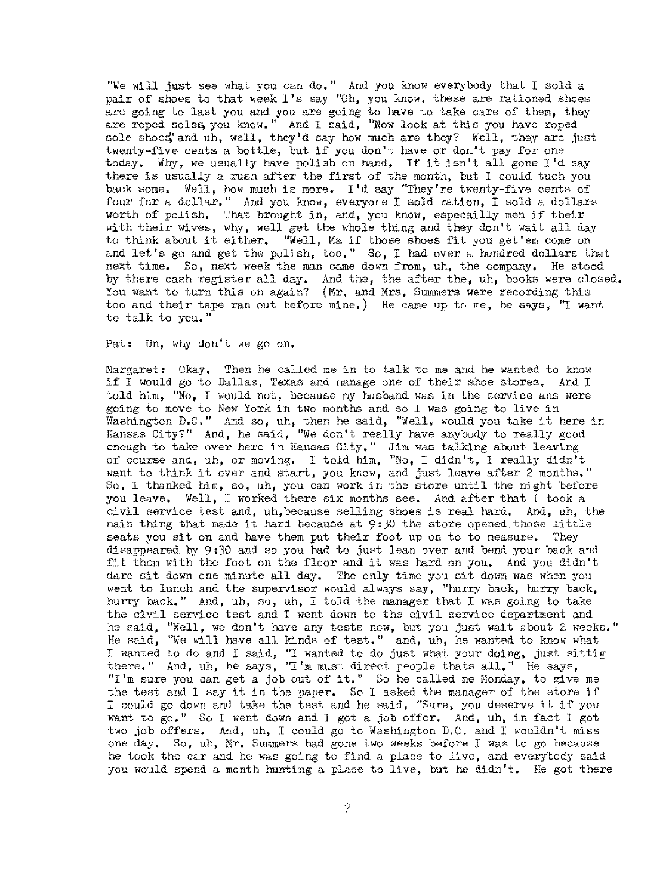"We will just see what you can do." And you know everybody that I sold a pair of shoes to that week I's say "Oh, you know, these are rationed shoes are going to last you and you are going to have to take care of them, they are roped soles, you know," And I said, "Now look at this you have roped sole shoes, and uh, well, they'd say how much are they? Well, they are just twenty-five cents a bottle, but if you don't have or don't pay for one today, Why, we usually have polish on hand, If it isn't all gone I'd say there is usually a rush after the first of the month, but I could tuch you back some, Well, hew much is more. I'd say "They're twenty-five cents of four for a dollar," And you know, everyone I sold ration, I sold a dollars worth of polish. That brought in, and, you know, especailly men if their with their wives, why, well get the whole thing and they don't wait all day to think about it either, "Well, Ma if those shoes fit you get'em come on and let's go and get the polish, too." So, I had over a hundred dollars that next time, So, next week the man came down from, uh, the company, He stood by there cash register all day, And the, the after the, uh, books were closed. You want to turn this on again? (Mr. and Mrs. Summers were recording this too and their tape ran out before mine.) He came up to me, he says,  $"I$  want to talk to you. "

Pat: Un, why don't we go on.

Margaret: Okay. Then he called me in to talk to me and he wanted to know if I would go to Dallas, Texas and manage one of their shoe stores. And I told him, "No, I would not, because my husband was in the service ans were going to move to New York in two months and so I was going to live in Washington D.C," And so, uh, then he said, "Well, would you take it here in Kansas City?" And, he said, "We don't really have anybody to really good enough to take over here in Kansas City," Jim was talking about leaving of eourse and, uh, or moving, I told him, "No, I didn't, I really didn't want to think it over and start, you know, and just leave after 2 months." So, I thanked him, so, uh, you can work in the store until the night before you leave, Well, I worked there six months see, And after that I took a civil service test and, uh,because selling shoes is real hard. And, uh, the main thing that made it hard because at 9,30 the store opened.those little seats you sit on and have them put their foot up on to to measure, They disappeared by 9:30 and so you had to just lean over and bend your back and fit them with the foot on the floor and it was hard on you. And you didn't dare sit down one minute all day. The only time you sit down was when you went to lunch and the supervisor would always say, "hurry back, hurry back, hurry back." And, uh, so, uh, I told the manager that I was going to take the civil service test and I went down to the civil service department and he said, "Well, we don't have any tests now, but you just wait about 2 weeks," He said, "We will have all kinds of test." and, uh, he wanted to know what I wanted to do and I said, "I wanted to do just what your doing, just sittig there." And, uh, he says, "I'm must direct people thats all." He says, "I'm sure you can get a job out of it. " So he called me Monday, to give me the test and I say it in the paper. So I asked the manager of the store if I could go down and take the test and he said, "Sure, you deserve it if you want to go," So I went down and I got a job offer, And, uh, in fact I got two job offers. And, uh, I could go to Washington D.C. and I wouldn't miss one day, So, uh, Mr. Summers had gone two weeks before I was to go because he took the car and he was going to find a place to live, and everybody said you would spend a month hunting a place to live, but he didn't. He got there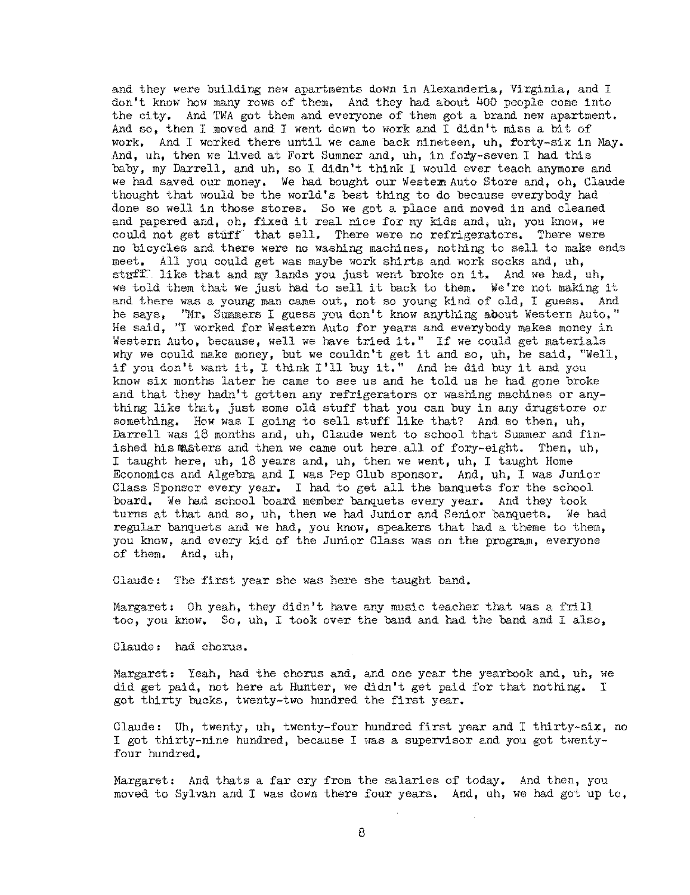and they were building new apartments down in Alexanderia, Virginia, and I don't know hew many rows of them, And they had about 4oO people come into the city, And TWA got them and everyone of them got a brand new apartment. And so, then I moved and I went down to work and I didn't miss a bit of work, And I worked there until we came back nineteen, uh, forty-six in May, And. uh. then we lived at Fort Sumner and, uh, in forty-seven I had this baby, my Darrell, and uh, so I didn't think I would ever teach anymore and we had saved our money. We had bought our Western Auto Store and, oh, Claude thought that would be the world's best thing to do because everybody had done so well in those stores. So we got a place and moved in and cleaned and papered and, oh, fixed it real nice for my kids and, uh, you know, we could not get stuff that sell. There were no refrigerators. There were no bicycles and there were no washing machines, nothing to sell to make ends meet, All you could get was maybe work shirts and work socks and, uh, stnff. like that and my lands you just went broke on it. And we had, uh, we told them that we just had to sell it back to them, We're not making it and there was a young man came out, not so young kind of old, I guess. And he says, ''Mr. Summers I guess you don't know anything about Western Auto." He said, "I worked for Western Auto for years and everybody makes money in Western Auto, because, well we have tried it." If we could get materials why we could make money, but we couldn't get it and so, uh, he said, "Well, if you don't want it, I think I'll buy it." And he did buy it and you know six months later he came to see us and he told us he had gone broke and that they hadn't gotten any refrigerators or washing machines or anything like that, just some old stuff that you can buy in any drugstore or something, How was I going to sell stuff like that? And so then, uh, Darrell was 18 months and, uh, Claude went to school that Summer and finished his masters and then we came out here,all of fory-eight. Then, uh, I taught here, uh, 18 years and, uh, then we went, uh, I taught Home Economics and Algebra and I was Pep Club sponsor. And, uh, I was Junior Class Sponsor every year, I had to get all the banquets for the school board, We had schooI board member banquets every year. And they took turns at that and so, uh, then we had Junior and Senior banquets. We had regular banquets and we had, you know, speakers that had a theme to them, you know, and every kid of the Junior Class was on the program, everyone of them, And, uh,

Claude: The first year she was here she taught band,

Margaret: Oh yeah, they didn't have any music teacher that was a frill too, you know. So, uh, I took over the band and had the band and I also,

Claude: had chorus.

Margaret: Yeah, had the chorus and, and one year the yearbook and, uh, we did get paid, not here at Hunter, we didn't get paid for that nothing. I got thirty bucks, twenty-two hundred the first year.

Claude: Uh, twenty, uh, twenty-four hundred first year and I thirty-six, no I got thirty-nine hundred, because I was a supervisor and you got twentyfour hundred,

Margaret: And thats a far cry from the salaries of today. And then, you moved to Sylvan and I was down there four years, And, uh, we had got up to,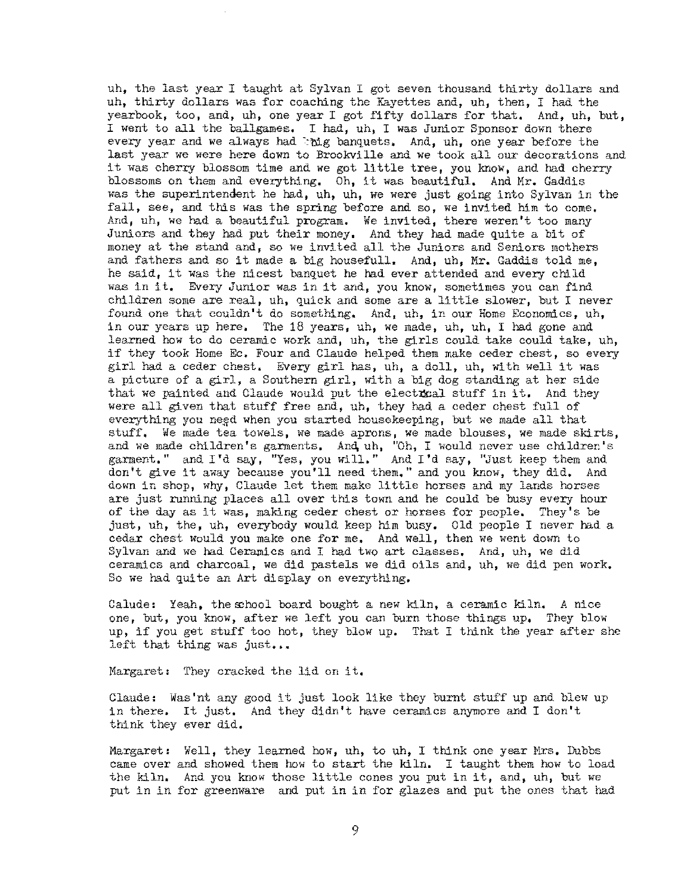uh, the last year I taught at Sylvan I got seven thousand thirty dollars and uh, thirty dollars was for coaching the Kayettes and, uh, then, I had the yearbook, too, and, uh, one year I got fifty dollars for that, And, uh, but, I went to all the ballgames, I had, uh, I was Junior Sponsor down there every year and we always had  $\log$  banquets, And, uh, one year before the last year we were here down to Brookville and we took all our decorations and it was cherry blossom time and we got little tree, you know, and had cherry blossoms on them and everything, Oh, it was beautiful, And Mr. Gaddis was the superintendent he had, uh, uh, we were just going into Sylvan in the fall, see, and this was the spring before and so, we invited him to come, And, uh, we had a beautiful program, We invited, there weren't too many Juniors and they had put their money, And they had made quite a bit of money at the stand and, so we invited all the Juniors and Seniors mothers and fathers and so it made a big housefull, And, uh, Mr. Gaddis told me, he said, it was the nicest banquet he had ever attended and every child was in it, Every Junior was in it and, you know, sometimes you can find children some are real, uh, quick and some are a little slower, but I never found one that couldn't do something, And, uh, in our Home Economics, uh, in our years up here. The 18 years, uh, we made, uh, uh, I had gone and learned how to do ceramic work and, uh, the girls could take could take, uh, if they took Home Ee, Four and Claude helped them make ceder chest, so every girl had a ceder chest. Every girl has, uh, a doll, uh, with well it was a picture of a girl, a Southern girl, with a big dog standing at her side that we painted and Claude would put the electrical stuff in it. And they were all given that stuff free and, uh, they had a ceder chest full of everything you need when you started housekeeping, but we made all that stuff, We made tea towels, we made aprons, we made blouses, we made skirts, and we made children's garments. And uh, "Oh, I would never use children's garment." and I'd say, "Yes, you will." And I'd say, "Just keep them and don't give it away because you'll need them," and you know, they did. And down in shop, why, Claude let them make little horses and my lands horses are just running places all over this town and he could be busy every hour of the day as it was, making ceder chest or horses for people, They's be just, uh, the, uh, everybody would keep him busy, Cld people I never had a cedar chest would you make one for me, And well, then we went down to Sylvan and we had Ceramics and I had two art classes, And, uh, we did ceramics and charcoal, we did pastels we did oils and, uh, we did pen work. So we had quite an Art display on everything.

Calude: Yeah, the school board bought a new kiln, a ceramic kiln. A nice one, but, you know, after we left you can burn those things up, They blow up, if you get stuff too hot, they blow up. That I think the year after she left that thing was just...

Margaret: They cracked the lid on it,

Claude: Was'nt any good it just look like they burnt stuff up and blew up in there, It just, And they didn't have ceramics anymore and I don't think they ever did,

Margaret: Well, they learned how, uh, to uh, I think one year Mrs. Dubbs came over and showed them how to start the kiln, I taught them how to load the kiln, And you know those little cones you put in it, and, uh, but we put in in for greenware and put in in for glazes and put the ones that had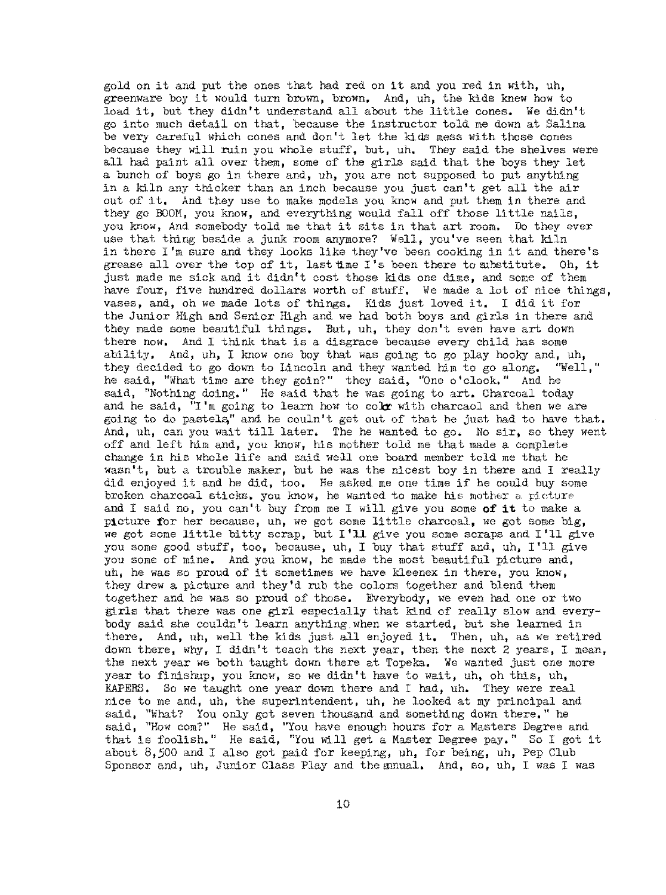gold on it and put the ones that had red on it and you red in with, uh, greenware boy it would turn brown, brown. And, uh, the kids knew how to load it, but they didn't understand all about the little cones. We didn't go into much detail on that, because the instructor told me down at Salina be very careful which cones and don't let the kids mess with those cones because they will ruin you whole stuff, but, uh, They said the shelves were all had paint all over them, some of the girls said that the boys they let a bunch of boys go in there and, uh, you are not supposed to put anything in a kiln any thicker than an inch because you just can't get all the air out of it, And they use to make models you know and put them in there and they go BOOM, you know, and everything would fall off those little nails, you know, And somebody told me that it sits in that art room. Do they ever use that thing beside a junk room anymore? Well, you've seen that kiln in there I'm sure and they looks like they've been cooking in it and there's grease all over the top of it, last time  $I$ 's been there to substitute. Oh, it just made me sick and it didn't cost those kids one dime, and some of them have four, five hundred dollars worth of stuff. We made a lot of nice things, vases, and, oh we made lots of things, Kids just loved it, I did it for tbe Junior High and Senior High and we had both boys and girls in there and they made some beautiful things. But, uh, they don't even have art down there now, And I think that is a disgrace because every child has some ability. And, uh, I know one boy that was going to go play hooky and, uh, they decided to go down to Lincoln and they wanted him to go along. "Well." they decided to go down to Lincoln and they wanted him to go along. he said, "What time are they goin?" they said, "One o'clock." And he said, "Nothing doing." He said that he was going to art. Charcoal today and he said,  $\overline{r}$  I'm going to learn how to colx with charcaol and then we are going to do pastels," and he couln 't get out of that he just had to have that. And, uh, can you wait till later. The he wanted to go. No sir, so they went off and left him and, you know, his mother told me that made a complete change in his whole life and said weJJ. one board member told me that he wasn't, but a trouble maker, but he was the nicest boy in there and I really did enjoyed it and he did, too. He asked me one time if be could buy some broken charcoal sticks, you know, he wanted to make his mother a picture and I said no, you can't buy from me I will give you some **of it** to make a picture for her because, uh, we got some little charcoal, we got some big, we got some little bitty scrap, but I'll give you some scraps and I'll give you some good stuff, too, because, uh, I buy that stuff and, uh, I'll give you some of mine, And you know, he made the most beautiful picture and, uh, he was so proud of it sometimes we have kleenex in there, you know, they drew a picture and they'd rub the colors together and blend them together and he was so proud of those. Everybody, we even had one or two girls that there was one girl especially that kind of really slow and everybody said she couldn't learn anything when we started, but she learned in there, And, uh, well the kids just all enjoyed it, Then, uh, as we retired down there, why, I didn't teach the next year, then the next 2 years, I mean, the next year we both taught down there at Topeka, We wanted just one more year to finisbup, you know, so we didn't have to wait, uh, oh this, uh, RAPERS, So we taught one year down there and I had, uh. They were real nice to me and, uh, the superintendent, uh, he looked at my principal and said, "What? You only got seven thousand and something down there," he said, "How com?" He said, "You have enough hours for a Masters Degree and that is foolish." He said, "You Will get a Master Degree pay." So I got it about 8,500 and I also got paid for keeping, uh, for being, uh, Pep Club Sponsor and, uh, Junior Class Play and the annual. And, so, uh, I was I was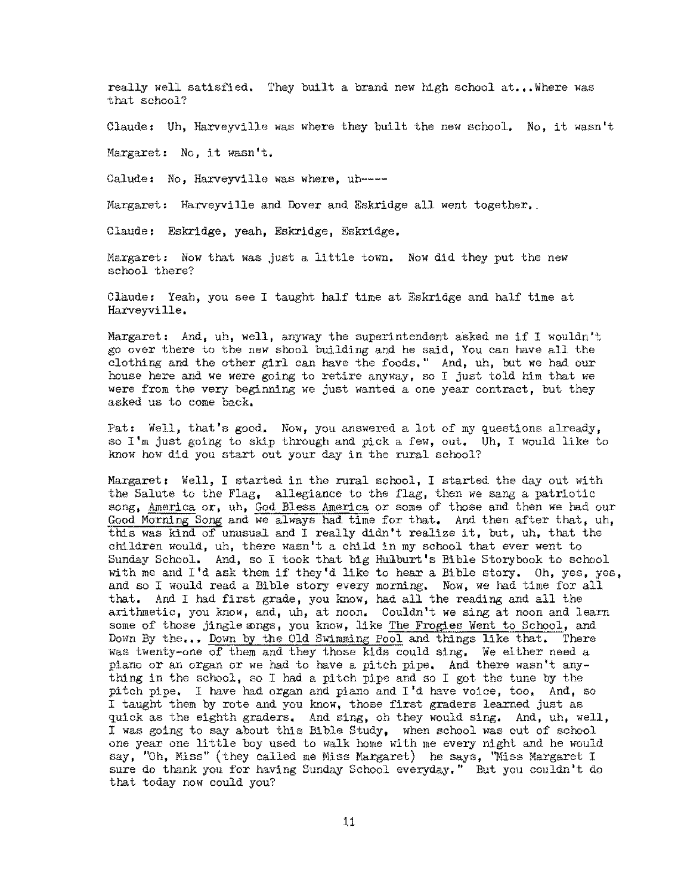really well satisfied. They built a brand new high school at... Where was that school?

Claude: Uh, Harveyville was where they built the new school. No, it wasn't

Margaret: No, it wasn't.

Calude: No, Harveyville was where, uh----

Margaret: Harveyville and Dover and Eskridge all went together.

Claude: Eskridge, yeah, Eskridge, Eskridge.

Margaret: Now that was just a little town. Now did they put the new school there?

Claude: Yeah, you see I taught half time at Eskridge and half time at Harveyville.

Margaret: And, uh, well, anyway the superintendent asked me if I wouldn't go over there to the new shoal building and he said, You can have all the clothing and the other girl can have the foods," And, uh, but we had our house here and we were going to retire anyway, so I just told him that we were from the very beginning we just wanted a one year contract, but they asked us to come back.

Pat: Well, that's good. Now, you answered a lot of my questions already, so I'm just going to skip through and pick a few, out. Uh, I would like to know how did you start out your day in the rural school?

Margaret: Well, I started in the rural school, I started the day out with the Salute to the Flag, allegiance to the flag, then we sang a patriotic song, America or, uh, God Bless America or some of those and then we had our Good Morning Song and we always had time for that, And then after that, uh, this was kind of unusual and I really didn't realize it, but, uh, that the children would, uh, there wasn't a child in my school that ever went to Sunday School. And, so I took that big Huilburt's Bible Storybook to school with me and I'd ask them if they'd like to hear a Bible story. Oh, yes, yes, and so I would read a Bible story every morning. Now, we had time for all that. And I had first grade, you know, had all the reading and all the arithmetic, you know, and, uh, at noon, Couldn't we sing at noon and learn some of those jingle songs, you know, like The Frogies Went to School, and Down By the,,, Down by the Old Swimming Pool and things like that. There was twenty-one of them and they those kids could sing. We either need a piano or an organ or we had to have a pitch pipe. And there wasn't anything in the school, so I had a pitch pipe and so I got the tune by the pitch pipe, I have had organ and piano and I'd have voice, too, And, so I taught them by rote and you know, those first graders learned just as quick as the eighth graders, And sing, oh they would sing, And, uh, well, I was going to say about this Bible Study, when school was out of school one year one little bey used to walk home with me every night and he would say, "Oh, Miss" (they called me Miss Margaret) he says. "Miss Margaret I sure do thank you for having Sunday School everyday," But you couldn't do that today now could you?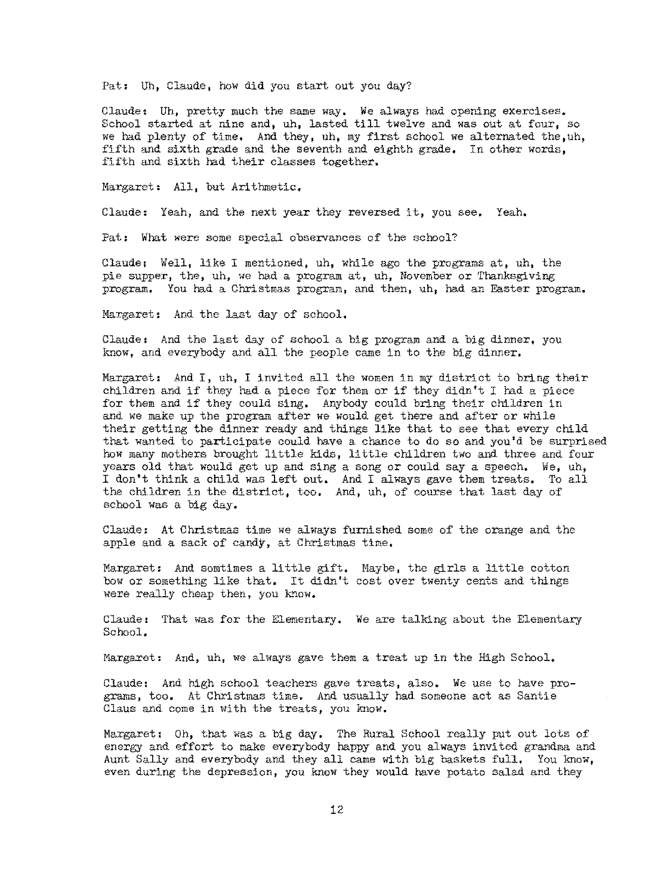Pat: Uh, Claude, how did you start out you day?

Claude: Uh, pretty much the same way, We always had opening exercises. School started at nine and, uh, lasted till twelve and was out at four, so we had plenty of time. And they, uh, my first school we alternated the,uh, fifth and sixth grade and the seventh and eighth grade. In other words, fifth and sixth had their classes together.

Margaret, All, but Arithmetic,

Claude: Yeah, and the next year they reversed it, you see, Yeah,

Pat: What were some special observances of the school?

Claude: Well, like I mentioned, uh, while ago the programs at, uh, the pie supper, the, uh, we had a program at, uh, November or Thanksgiving program. You had a Christmas program, and then, uh, had an Easter program.

Margaret: And the last day of school,

Claude, And the last day of school a big program and a big dinner, you know, and everybody and all the people came in to the big dinner.

Margaret: And I, uh, I invited all the women in my district to bring their children and if they had a piece for them or if they didn't I had a piece for them and if they could sing, Anybody could bring their children in and we make up the program after we would get there and after or while their getting the dinner ready and things like that to see that every child that wanted to participate could have a chance to do so and you'd be surprised how many mothers brought little kids, little children two and three and four years old that would get up and sing a song or could say a speech, We, uh, I don't think a child was left out. And I always gave them treats. To all the children in the district, too, And, uh, of course that last day of school was a big day,

Claude: At Christmas time we always furnished some of the orange and the apple and a sack of candy, at Christmas time,

Margaret, And somtimes a little gift, Maybe, the girls a little cotton how or something like that. It didn't cost over twenty cents and things were really cheap then, you know.

Claude: That was for the Elementary, We are talking about the Elementary School,

Margaret, And, uh, we always gave them a treat up in the High School,

Claude: And high school teachers gave treats, also. We use to have programs, too, At Christmas time, And usually had someone act as Santie Claus and come in with the treats, you know.

Margaret: Oh, that was a big day. The Rural School really put out lots of energy and effort to make everybody happy and you always invited grandma and Aunt Sally and everybody and they all came with big baskets full, You know, even during the depression, you know they would have potato salad and they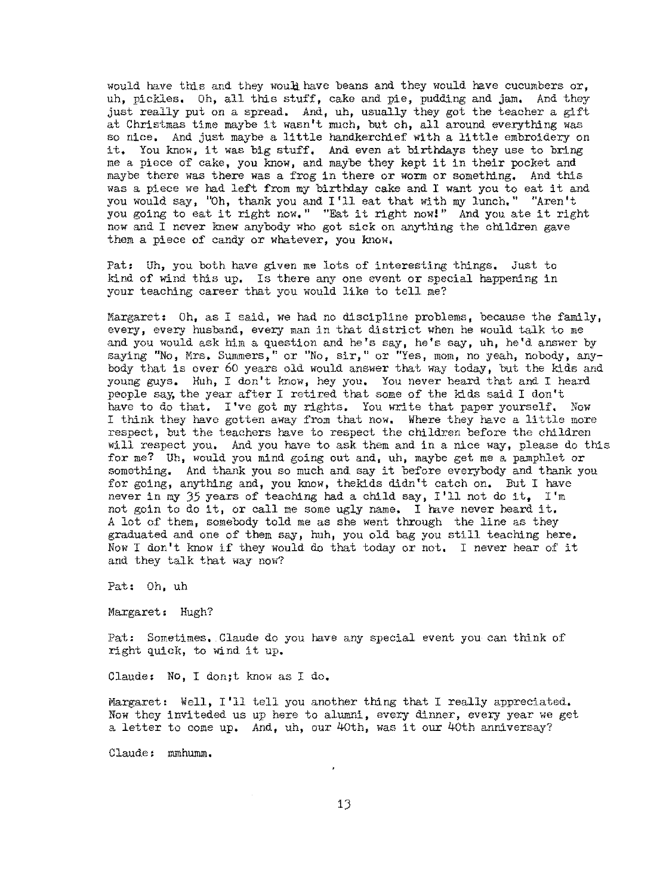would have this and they would have beans and they would have cucumbers or, uh, pickles. Oh, all this stuff, cake and pie, pudding and jam, And they just really put on a spread, And, uh, usually they got the teacher a gift at Christmas time maybe it wasn't much, but oh, all around everything was so nice. And just maybe a little handkerchief with a little embroidery on it, You know, it was big stuff, And even at birthdays they use to bring me a piece of cake, you know, and maybe they kept it in their pocket and maybe there was there was a frog in there or worm or something, And this was a piece we had left from my birthday cake and I want you to eat it and you would say, "Oh, thank you and I '11 eat that with my lunch," "Aren't you going to eat it right now," "Eat it right now!" And you ate it right now and I never knew anybody who got sick on anything the children gave them a piece of candy or whatever, you know,

Pat: Uh, you both have given me lots of interesting things, Just to kind of wind this up, Is there any one event or special happening in your teaching career that you would like to tell me?

Margaret: Oh, as I said, we had no discipline problems, because the family, every, every husband, every man in that distriet when he would talk to me and you would ask him a question and he's say, he's say, uh, he'd answer by saying "No, Mrs. Summers," or "No, sir," or "Yes, mom, no yeah, nobody, anybody that is over 60 years old would answer that way today, but the kids and young guys. Huh, I don't know, hey you, You never heard that and I heard people say, the year after I retired that some of the kids said I don't have to do that. I've got my rights. You write that paper yourself. Now I think they have gotten away from that now. Where they have a little more respect, but the teachers have to respect the children before the children wlll respect you, And you have to ask them and in a nice way, please do this for me? Uh, would you mind going out and, uh, maybe get me a pamphlet or something. And thank you so much and say it before everybody and thank you for going, anything and, you know, thekids didn't catch on. But I have never in my  $35$  years of teaching had a child say, I'll not do it, I'm not goin to do it, or call me some ugly name. I have never heard it. *<sup>A</sup>*lot of them, somebody told me as she went through the line as they graduated and one of them say, huh, you old bag you still teaching here. Now I don't know if they would do that today or not. I never hear of it and they talk that way now?

Pat: Oh, uh

Margaret: Hugh?

Pat: Sometimes, Claude do you have any special event you can think of right quick, to wind it up.

Claude: No, I don;t know as I do.

Margaret: Well, I'll tell you another thing that I really appreciated. Now they inviteded us up here to alumni, every dinner, every year we get a letter to come up. And, uh, our 40th, was it our 40th anniversay?

Claude: mmhumm.